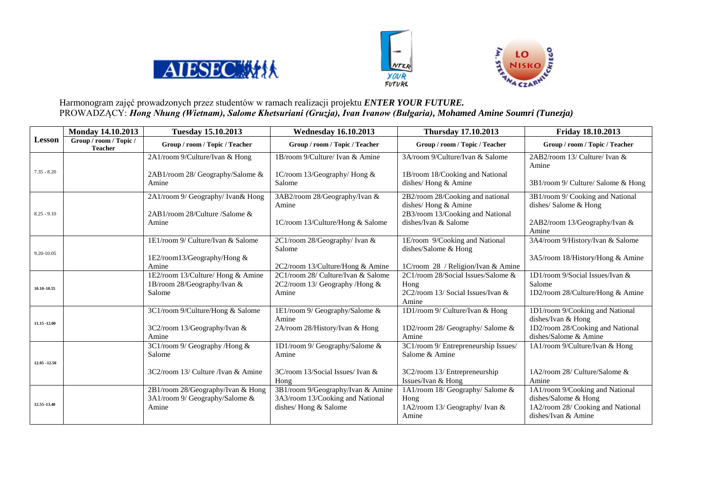





## Harmonogram zajęć prowadzonych przez studentów w ramach realizacji projektu *ENTER YOUR FUTURE.* PROWADZĄCY: *Hong Nhung (Wietnam), Salome Khetsuriani (Gruzja), Ivan Ivanow (Bułgaria), Mohamed Amine Soumri (Tunezja)*

|                 | <b>Monday 14.10.2013</b><br><b>Tuesday 15.10.2013</b> |                                       | <b>Wednesday 16.10.2013</b>              | <b>Thursday 17.10.2013</b>                               | Friday 18.10.2013                                         |  |
|-----------------|-------------------------------------------------------|---------------------------------------|------------------------------------------|----------------------------------------------------------|-----------------------------------------------------------|--|
| <b>Lesson</b>   | Group / room / Topic /<br><b>Teacher</b>              | Group / room / Topic / Teacher        | Group / room / Topic / Teacher           | Group / room / Topic / Teacher                           | Group / room / Topic / Teacher                            |  |
|                 |                                                       | 2A1/room 9/Culture/Ivan & Hong        | 1B/room 9/Culture/ Ivan & Amine          | 3A/room 9/Culture/Ivan & Salome                          | 2AB2/room 13/ Culture/ Ivan &                             |  |
| $7.35 - 8.20$   |                                                       | 2AB1/room 28/ Geography/Salome &      | 1C/room 13/Geography/ Hong &             | 1B/room 18/Cooking and National                          | Amine                                                     |  |
|                 |                                                       | Amine                                 | Salome                                   | dishes/ Hong & Amine                                     | 3B1/room 9/ Culture/ Salome & Hong                        |  |
|                 |                                                       | 2A1/room 9/ Geography/ Ivan& Hong     | 3AB2/room 28/Geography/Ivan &            | 2B2/room 28/Cooking and national                         | 3B1/room 9/ Cooking and National                          |  |
| $8.25 - 9.10$   |                                                       | $2AB1$ /room $28$ /Culture /Salome &  | Amine                                    | dishes/ Hong & Amine<br>2B3/room 13/Cooking and National | dishes/Salome & Hong                                      |  |
|                 |                                                       | Amine                                 | 1C/room 13/Culture/Hong & Salome         | dishes/Ivan & Salome                                     | 2AB2/room 13/Geography/Ivan &<br>Amine                    |  |
| 9.20-10.05      |                                                       | 1E1/room 9/ Culture/Ivan & Salome     | 2C1/room 28/Geography/ Ivan &            | 1E/room 9/Cooking and National                           | 3A4/room 9/History/Ivan & Salome                          |  |
|                 |                                                       |                                       | Salome                                   | dishes/Salome & Hong                                     |                                                           |  |
|                 |                                                       | 1E2/room13/Geography/Hong &<br>Amine  | 2C2/room 13/Culture/Hong & Amine         | 1C/room 28 / Religion/Ivan & Amine                       | 3A5/room 18/History/Hong & Amine                          |  |
| $10.10 - 10.55$ |                                                       | 1E2/room 13/Culture/ Hong & Amine     | 2C1/room 28/ Culture/Ivan & Salome       | 2C1/room 28/Social Issues/Salome &                       | 1D1/room 9/Social Issues/Ivan &                           |  |
|                 |                                                       | 1B/room 28/Geography/Ivan &           | 2C2/room 13/ Geography /Hong &           | Hong                                                     | Salome                                                    |  |
|                 |                                                       | Salome                                | Amine                                    | 2C2/room 13/ Social Issues/Ivan &<br>Amine               | 1D2/room 28/Culture/Hong & Amine                          |  |
|                 |                                                       | 3C1/room 9/Culture/Hong & Salome      | 1E1/room 9/ Geography/Salome &           | 1D1/room 9/ Culture/Ivan & Hong                          | 1D1/room 9/Cooking and National                           |  |
| 11.15 -12.00    |                                                       |                                       | Amine                                    |                                                          | dishes/Ivan & Hong                                        |  |
|                 |                                                       | 3C2/room 13/Geography/Ivan &<br>Amine | 2A/room 28/History/Ivan & Hong           | 1D2/room 28/ Geography/ Salome &<br>Amine                | 1D2/room 28/Cooking and National<br>dishes/Salome & Amine |  |
| $12.05 - 12.50$ |                                                       | 3C1/room 9/ Geography /Hong &         | 1D1/room 9/ Geography/Salome &           | 3C1/room 9/ Entrepreneurship Issues/                     | 1A1/room 9/Culture/Ivan & Hong                            |  |
|                 |                                                       | Salome                                | Amine                                    | Salome & Amine                                           |                                                           |  |
|                 |                                                       |                                       |                                          |                                                          |                                                           |  |
|                 |                                                       | 3C2/room 13/ Culture /Ivan & Amine    | 3C/room 13/Social Issues/ Ivan &<br>Hong | 3C2/room 13/ Entrepreneurship<br>Issues/Ivan & Hong      | 1A2/room 28/ Culture/Salome &<br>Amine                    |  |
|                 |                                                       | 2B1/room 28/Geography/Ivan & Hong     | 3B1/room 9/Geography/Ivan & Amine        | 1A1/room 18/ Geography/ Salome &                         | 1A1/room 9/Cooking and National                           |  |
| 12.55-13.40     |                                                       | 3A1/room 9/ Geography/Salome &        | 3A3/room 13/Cooking and National         | Hong                                                     | dishes/Salome & Hong                                      |  |
|                 |                                                       | Amine                                 | dishes/Hong & Salome                     | 1A2/room 13/ Geography/ Ivan &<br>Amine                  | 1A2/room 28/ Cooking and National<br>dishes/Ivan & Amine  |  |
|                 |                                                       |                                       |                                          |                                                          |                                                           |  |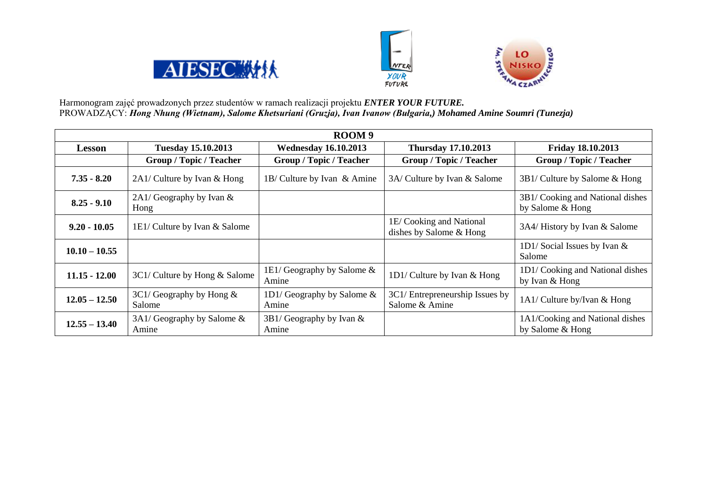





Harmonogram zajęć prowadzonych przez studentów w ramach realizacji projektu *ENTER YOUR FUTURE.* PROWADZĄCY: *Hong Nhung (Wietnam), Salome Khetsuriani (Gruzja), Ivan Ivanow (Bułgaria,) Mohamed Amine Soumri (Tunezja)*

| ROOM 9          |                                        |                                        |                                                    |                                                      |  |
|-----------------|----------------------------------------|----------------------------------------|----------------------------------------------------|------------------------------------------------------|--|
| <b>Lesson</b>   | <b>Tuesday 15.10.2013</b>              | <b>Wednesday 16.10.2013</b>            | <b>Thursday 17.10.2013</b>                         | Friday 18.10.2013                                    |  |
|                 | <b>Group / Topic / Teacher</b>         | <b>Group / Topic / Teacher</b>         | <b>Group / Topic / Teacher</b>                     | <b>Group / Topic / Teacher</b>                       |  |
| $7.35 - 8.20$   | 2A1/ Culture by Ivan & Hong            | 1B/ Culture by Ivan & Amine            | 3A/ Culture by Ivan & Salome                       | 3B1/ Culture by Salome & Hong                        |  |
| $8.25 - 9.10$   | $2A1$ / Geography by Ivan &<br>Hong    |                                        |                                                    | 3B1/ Cooking and National dishes<br>by Salome & Hong |  |
| $9.20 - 10.05$  | 1E1/ Culture by Ivan & Salome          |                                        | 1E/Cooking and National<br>dishes by Salome & Hong | 3A4/ History by Ivan & Salome                        |  |
| $10.10 - 10.55$ |                                        |                                        |                                                    | 1D1/Social Issues by Ivan $\&$<br>Salome             |  |
| $11.15 - 12.00$ | 3C1/ Culture by Hong & Salome          | 1E1/ Geography by Salome $\&$<br>Amine | 1D1/ Culture by Ivan & Hong                        | 1D1/Cooking and National dishes<br>by Ivan & Hong    |  |
| $12.05 - 12.50$ | $3C1/Geography$ by Hong &<br>Salome    | 1D1/ Geography by Salome $\&$<br>Amine | 3C1/ Entrepreneurship Issues by<br>Salome & Amine  | 1A1/ Culture by/Ivan & Hong                          |  |
| $12.55 - 13.40$ | $3A1$ / Geography by Salome &<br>Amine | $3B1/Geography$ by Ivan &<br>Amine     |                                                    | 1A1/Cooking and National dishes<br>by Salome & Hong  |  |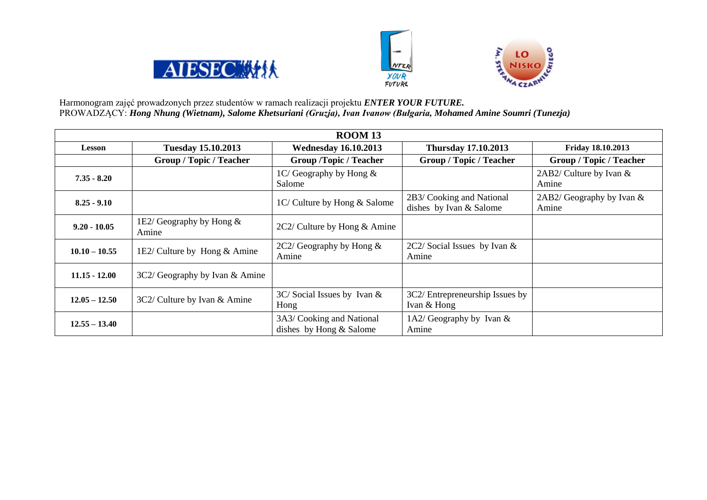





Harmonogram zajęć prowadzonych przez studentów w ramach realizacji projektu *ENTER YOUR FUTURE.* PROWADZĄCY: *Hong Nhung (Wietnam), Salome Khetsuriani (Gruzja), Ivan Ivanow (Bułgaria, Mohamed Amine Soumri (Tunezja)*

| <b>ROOM 13</b>                                         |                                |                                                        |                                                      |                                     |  |
|--------------------------------------------------------|--------------------------------|--------------------------------------------------------|------------------------------------------------------|-------------------------------------|--|
| <b>Lesson</b>                                          | <b>Tuesday 15.10.2013</b>      | <b>Wednesday 16.10.2013</b>                            | <b>Thursday 17.10.2013</b>                           | Friday 18.10.2013                   |  |
| <b>Group / Topic / Teacher</b>                         |                                | <b>Group /Topic / Teacher</b>                          | <b>Group / Topic / Teacher</b>                       | <b>Group / Topic / Teacher</b>      |  |
| $7.35 - 8.20$                                          |                                | $1C/G$ eography by Hong $\&$<br>Salome                 |                                                      | 2AB2/ Culture by Ivan &<br>Amine    |  |
| $8.25 - 9.10$                                          |                                | 1C/ Culture by Hong & Salome                           | 2B3/ Cooking and National<br>dishes by Ivan & Salome | $2AB2/Geography$ by Ivan &<br>Amine |  |
| 1E2/ Geography by Hong $\&$<br>$9.20 - 10.05$<br>Amine |                                | $2C2$ / Culture by Hong & Amine                        |                                                      |                                     |  |
| $10.10 - 10.55$                                        | 1E2/ Culture by Hong $&$ Amine | 2C2/ Geography by Hong $\&$<br>Amine                   | $2C2/$ Social Issues by Ivan &<br>Amine              |                                     |  |
| $11.15 - 12.00$                                        | 3C2/ Geography by Ivan & Amine |                                                        |                                                      |                                     |  |
| $12.05 - 12.50$                                        | 3C2/ Culture by Ivan & Amine   | $3C/$ Social Issues by Ivan &<br>Hong                  | 3C2/ Entrepreneurship Issues by<br>Ivan & Hong       |                                     |  |
| $12.55 - 13.40$                                        |                                | 3A3/ Cooking and National<br>dishes by Hong $&$ Salome | 1A2/ Geography by Ivan $\&$<br>Amine                 |                                     |  |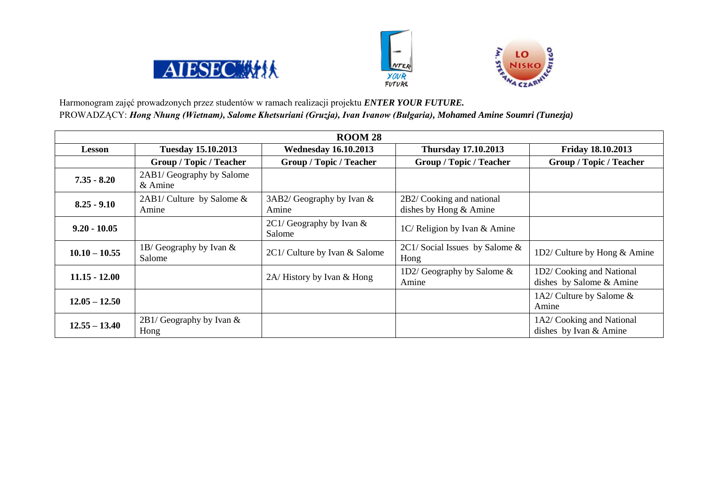





Harmonogram zajęć prowadzonych przez studentów w ramach realizacji projektu *ENTER YOUR FUTURE.* PROWADZĄCY: *Hong Nhung (Wietnam), Salome Khetsuriani (Gruzja), Ivan Ivanow (Bułgaria), Mohamed Amine Soumri (Tunezja)*

| <b>ROOM 28</b>  |                                        |                                     |                                                       |                                                       |  |
|-----------------|----------------------------------------|-------------------------------------|-------------------------------------------------------|-------------------------------------------------------|--|
| <b>Lesson</b>   | <b>Tuesday 15.10.2013</b>              | <b>Wednesday 16.10.2013</b>         | <b>Thursday 17.10.2013</b>                            | <b>Friday 18.10.2013</b>                              |  |
|                 | <b>Group / Topic / Teacher</b>         | <b>Group / Topic / Teacher</b>      | <b>Group / Topic / Teacher</b>                        | <b>Group / Topic / Teacher</b>                        |  |
| $7.35 - 8.20$   | 2AB1/ Geography by Salome<br>$&$ Amine |                                     |                                                       |                                                       |  |
| $8.25 - 9.10$   | $2AB1/Culture$ by Salome &<br>Amine    | $3AB2/Geography$ by Ivan &<br>Amine | 2B2/ Cooking and national<br>dishes by Hong $&$ Amine |                                                       |  |
| $9.20 - 10.05$  |                                        | $2C1/Geography$ by Ivan &<br>Salome | 1C/ Religion by Ivan & Amine                          |                                                       |  |
| $10.10 - 10.55$ | 1B/ Geography by Ivan $\&$<br>Salome   | 2C1/ Culture by Ivan & Salome       | $2C1/$ Social Issues by Salome &<br>Hong              | 1D2/ Culture by Hong & Amine                          |  |
| $11.15 - 12.00$ |                                        | 2A/History by Ivan & Hong           | 1D2/ Geography by Salome $\&$<br>Amine                | 1D2/ Cooking and National<br>dishes by Salome & Amine |  |
| $12.05 - 12.50$ |                                        |                                     |                                                       | 1A2/ Culture by Salome $\&$<br>Amine                  |  |
| $12.55 - 13.40$ | $2B1/Geography$ by Ivan &<br>Hong      |                                     |                                                       | 1A2/ Cooking and National<br>dishes by Ivan & Amine   |  |